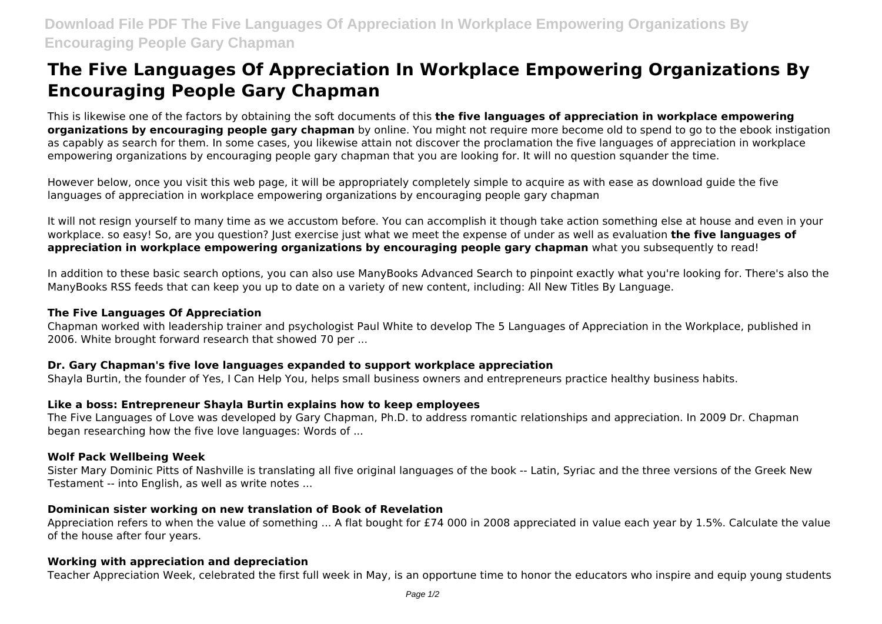# **The Five Languages Of Appreciation In Workplace Empowering Organizations By Encouraging People Gary Chapman**

This is likewise one of the factors by obtaining the soft documents of this **the five languages of appreciation in workplace empowering organizations by encouraging people gary chapman** by online. You might not require more become old to spend to go to the ebook instigation as capably as search for them. In some cases, you likewise attain not discover the proclamation the five languages of appreciation in workplace empowering organizations by encouraging people gary chapman that you are looking for. It will no question squander the time.

However below, once you visit this web page, it will be appropriately completely simple to acquire as with ease as download guide the five languages of appreciation in workplace empowering organizations by encouraging people gary chapman

It will not resign yourself to many time as we accustom before. You can accomplish it though take action something else at house and even in your workplace. so easy! So, are you question? Just exercise just what we meet the expense of under as well as evaluation **the five languages of appreciation in workplace empowering organizations by encouraging people gary chapman** what you subsequently to read!

In addition to these basic search options, you can also use ManyBooks Advanced Search to pinpoint exactly what you're looking for. There's also the ManyBooks RSS feeds that can keep you up to date on a variety of new content, including: All New Titles By Language.

#### **The Five Languages Of Appreciation**

Chapman worked with leadership trainer and psychologist Paul White to develop The 5 Languages of Appreciation in the Workplace, published in 2006. White brought forward research that showed 70 per ...

#### **Dr. Gary Chapman's five love languages expanded to support workplace appreciation**

Shayla Burtin, the founder of Yes, I Can Help You, helps small business owners and entrepreneurs practice healthy business habits.

## **Like a boss: Entrepreneur Shayla Burtin explains how to keep employees**

The Five Languages of Love was developed by Gary Chapman, Ph.D. to address romantic relationships and appreciation. In 2009 Dr. Chapman began researching how the five love languages: Words of ...

## **Wolf Pack Wellbeing Week**

Sister Mary Dominic Pitts of Nashville is translating all five original languages of the book -- Latin, Syriac and the three versions of the Greek New Testament -- into English, as well as write notes ...

## **Dominican sister working on new translation of Book of Revelation**

Appreciation refers to when the value of something ... A flat bought for £74 000 in 2008 appreciated in value each year by 1.5%. Calculate the value of the house after four years.

## **Working with appreciation and depreciation**

Teacher Appreciation Week, celebrated the first full week in May, is an opportune time to honor the educators who inspire and equip young students